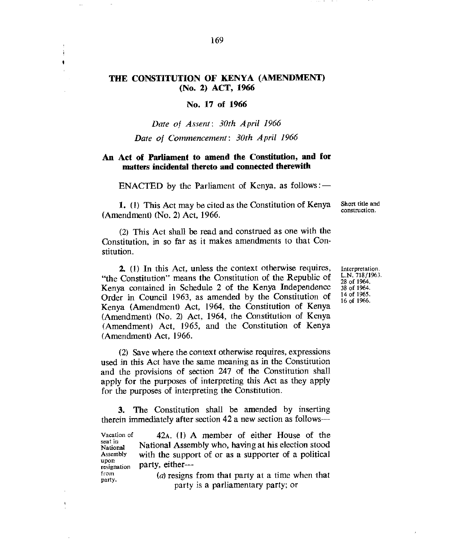### **THE CONSTITUTION OF KENYA (AMENDMENT) (No. 2) ACT, 1966**

# **No. 17 of 1966**

#### *Date of Assent: 30th April 1966*

#### *Date of Commencement: 30th April 1966*

# **An Act of Parliament to amend the Constitution, and for matters incidental thereto and connected therewith**

ENACTED by the Parliament of Kenya, as follows :  $-$ 

**1. (1)** This Act may be cited as the Constitution of Kenya (Amendment) (No. 2) Act, 1966.

Short title and construction.

(2) This Act shall be read and construed as one with the Constitution, in so far as it makes amendments to that Constitution.

2. (1) In this Act, unless the context otherwise requires, "the Constitution" means the Constitution of the Republic of Kenya contained in Schedule 2 of the Kenya Independence Order in Council 1963, as amended by the Constitution of Kenya (Amendment) Act, 1964, the Constitution of Kenya (Amendment) (No. 2) Act, 1964, the Constitution of Kenya (Amendment) Act, 1965, and the Constitution of Kenya (Amendment) Act, 1966.

(2) Save where the context otherwise requires, expressions used in this Act have the same meaning as in the Constitution and the provisions of section 247 of the Constitution shall apply for the purposes of interpreting this Act as they apply for the purposes of interpreting the Constitution.

3. The Constitution shall be amended by inserting therein immediately after section 42 a new section as follows—

Vacation of seat in National Assembly upon resignation from party. 42A. (1) A member of either House of the National Assembly who, having at his election stood with the support of or as a supporter of a political party, either— *(a)* resigns from that party at a time when that party is a parliamentary party; or

Interpretation. L.N. 718/1963. 28 of 1964. 38 of 1964. 14 of 1965. 16 of 1966.